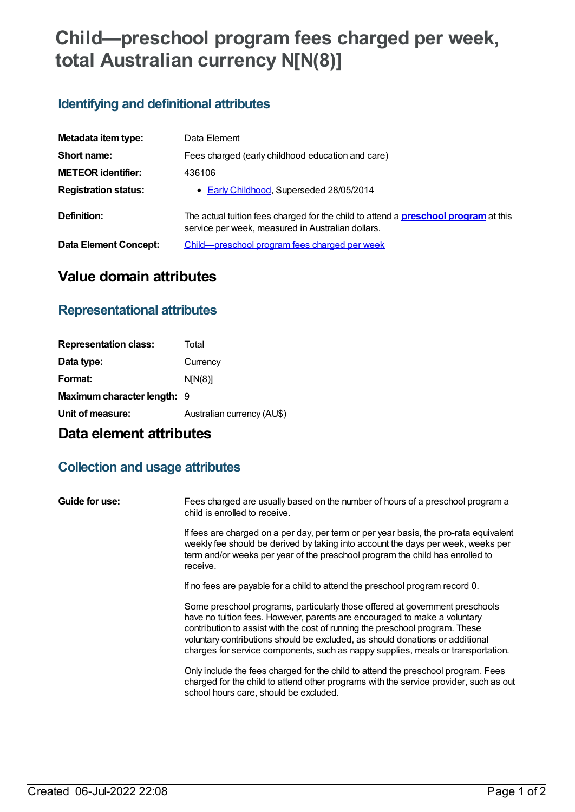# **Child—preschool program fees charged per week, total Australian currency N[N(8)]**

## **Identifying and definitional attributes**

| Metadata item type:         | Data Element                                                                                                                                    |
|-----------------------------|-------------------------------------------------------------------------------------------------------------------------------------------------|
| Short name:                 | Fees charged (early childhood education and care)                                                                                               |
| <b>METEOR identifier:</b>   | 436106                                                                                                                                          |
| <b>Registration status:</b> | • Early Childhood, Superseded 28/05/2014                                                                                                        |
| Definition:                 | The actual tuition fees charged for the child to attend a <b>preschool program</b> at this<br>service per week, measured in Australian dollars. |
| Data Element Concept:       | Child-preschool program fees charged per week                                                                                                   |

# **Value domain attributes**

#### **Representational attributes**

| <b>Representation class:</b> | Total                      |
|------------------------------|----------------------------|
| Data type:                   | Currency                   |
| Format:                      | N[N(8)]                    |
| Maximum character length: 9  |                            |
| Unit of measure:             | Australian currency (AU\$) |

## **Data element attributes**

### **Collection and usage attributes**

**Guide for use:** Fees charged are usually based on the number of hours of a preschool program a child is enrolled to receive.

> If fees are charged on a per day, per term or per year basis, the pro-rata equivalent weekly fee should be derived by taking into account the days per week, weeks per term and/or weeks per year of the preschool program the child has enrolled to receive.

If no fees are payable for a child to attend the preschool program record 0.

Some preschool programs, particularly those offered at government preschools have no tuition fees. However, parents are encouraged to make a voluntary contribution to assist with the cost of running the preschool program. These voluntary contributions should be excluded, as should donations or additional charges for service components, such as nappy supplies, meals or transportation.

Only include the fees charged for the child to attend the preschool program. Fees charged for the child to attend other programs with the service provider, such as out school hours care, should be excluded.